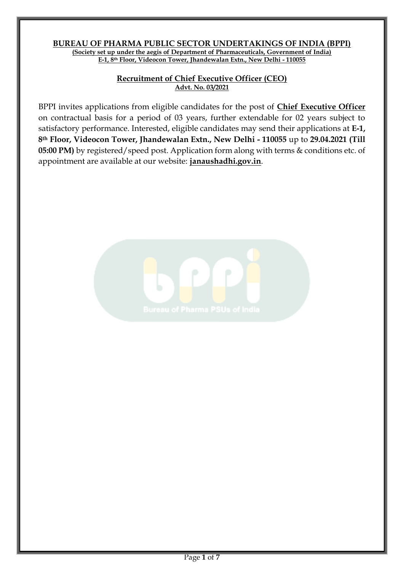#### **BUREAU OF PHARMA PUBLIC SECTOR UNDERTAKINGS OF INDIA (BPPI) (Society set up under the aegis of Department of Pharmaceuticals, Government of India) E-1, 8th Floor, Videocon Tower, Jhandewalan Extn., New Delhi - 110055**

#### **Recruitment of Chief Executive Officer (CEO) Advt. No. 03/2021**

BPPI invites applications from eligible candidates for the post of **Chief Executive Officer** on contractual basis for a period of 03 years, further extendable for 02 years subject to satisfactory performance. Interested, eligible candidates may send their applications at **E-1, 8th Floor, Videocon Tower, Jhandewalan Extn., New Delhi - 110055** up to **29.04.2021 (Till 05:00 PM)** by registered/speed post. Application form along with terms & conditions etc. of appointment are available at our website: **janaushadhi.gov.in**.

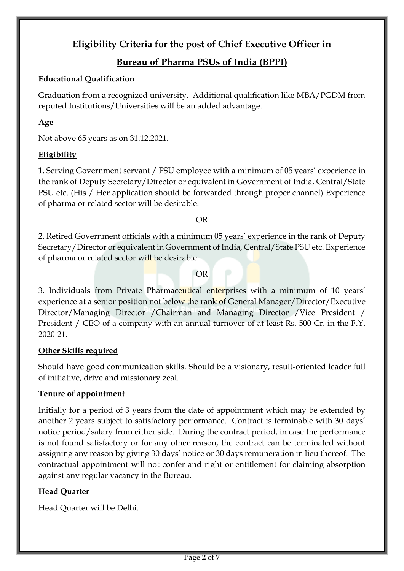# **Eligibility Criteria for the post of Chief Executive Officer in**

# **Bureau of Pharma PSUs of India (BPPI)**

## **Educational Qualification**

Graduation from a recognized university. Additional qualification like MBA/PGDM from reputed Institutions/Universities will be an added advantage.

# **Age**

Not above 65 years as on 31.12.2021.

# **Eligibility**

1. Serving Government servant / PSU employee with a minimum of 05 years' experience in the rank of Deputy Secretary/Director or equivalent in Government of India, Central/State PSU etc. (His / Her application should be forwarded through proper channel) Experience of pharma or related sector will be desirable.

OR

2. Retired Government officials with a minimum 05 years' experience in the rank of Deputy Secretary/Director or equivalent in Government of India, Central/State PSU etc. Experience of pharma or related sector will be desirable.

OR

3. Individuals from Private Pharmaceutical enterprises with a minimum of 10 years' experience at a senior position not below the rank of General Manager/Director/Executive Director/Managing Director /Chairman and Managing Director /Vice President / President / CEO of a company with an annual turnover of at least Rs. 500 Cr. in the F.Y. 2020-21.

# **Other Skills required**

Should have good communication skills. Should be a visionary, result-oriented leader full of initiative, drive and missionary zeal.

# **Tenure of appointment**

Initially for a period of 3 years from the date of appointment which may be extended by another 2 years subject to satisfactory performance. Contract is terminable with 30 days' notice period/salary from either side. During the contract period, in case the performance is not found satisfactory or for any other reason, the contract can be terminated without assigning any reason by giving 30 days' notice or 30 days remuneration in lieu thereof. The contractual appointment will not confer and right or entitlement for claiming absorption against any regular vacancy in the Bureau.

# **Head Quarter**

Head Quarter will be Delhi.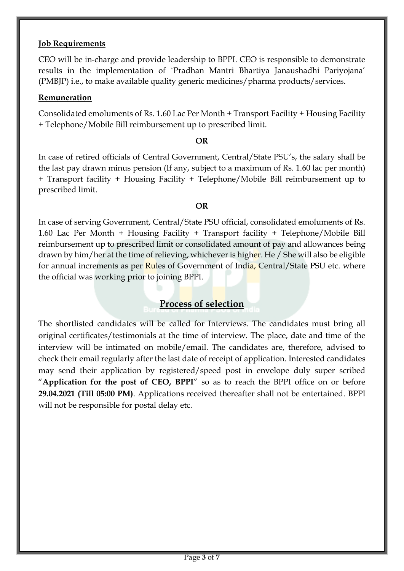### **Job Requirements**

CEO will be in-charge and provide leadership to BPPI. CEO is responsible to demonstrate results in the implementation of `Pradhan Mantri Bhartiya Janaushadhi Pariyojana' (PMBJP) i.e., to make available quality generic medicines/pharma products/services.

#### **Remuneration**

Consolidated emoluments of Rs. 1.60 Lac Per Month + Transport Facility + Housing Facility + Telephone/Mobile Bill reimbursement up to prescribed limit.

#### **OR**

In case of retired officials of Central Government, Central/State PSU's, the salary shall be the last pay drawn minus pension (If any, subject to a maximum of Rs. 1.60 lac per month) + Transport facility + Housing Facility + Telephone/Mobile Bill reimbursement up to prescribed limit.

#### **OR**

In case of serving Government, Central/State PSU official, consolidated emoluments of Rs. 1.60 Lac Per Month + Housing Facility + Transport facility + Telephone/Mobile Bill reimbursement up to prescribed limit or consolidated amount of pay and allowances being drawn by him/her at the time of relieving, whichever is higher. He / She will also be eligible for annual increments as per Rules of Government of India, Central/State PSU etc. where the official was working prior to joining BPPI.

# **Process of selection**

The shortlisted candidates will be called for Interviews. The candidates must bring all original certificates/testimonials at the time of interview. The place, date and time of the interview will be intimated on mobile/email. The candidates are, therefore, advised to check their email regularly after the last date of receipt of application. Interested candidates may send their application by registered/speed post in envelope duly super scribed "**Application for the post of CEO, BPPI**" so as to reach the BPPI office on or before **29.04.2021 (Till 05:00 PM)**. Applications received thereafter shall not be entertained. BPPI will not be responsible for postal delay etc.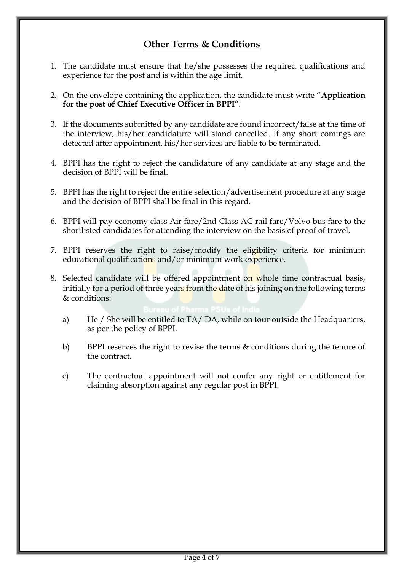# **Other Terms & Conditions**

- 1. The candidate must ensure that he/she possesses the required qualifications and experience for the post and is within the age limit.
- 2. On the envelope containing the application, the candidate must write "**Application for the post of Chief Executive Officer in BPPI"**.
- 3. If the documents submitted by any candidate are found incorrect/false at the time of the interview, his/her candidature will stand cancelled. If any short comings are detected after appointment, his/her services are liable to be terminated.
- 4. BPPI has the right to reject the candidature of any candidate at any stage and the decision of BPPI will be final.
- 5. BPPI has the right to reject the entire selection/advertisement procedure at any stage and the decision of BPPI shall be final in this regard.
- 6. BPPI will pay economy class Air fare/2nd Class AC rail fare/Volvo bus fare to the shortlisted candidates for attending the interview on the basis of proof of travel.
- 7. BPPI reserves the right to raise/modify the eligibility criteria for minimum educational qualifications and/or minimum work experience.
- 8. Selected candidate will be offered appointment on whole time contractual basis, initially for a period of three years from the date of his joining on the following terms & conditions:

- a) He / She will be entitled to TA/ DA, while on tour outside the Headquarters, as per the policy of BPPI.
- b) BPPI reserves the right to revise the terms & conditions during the tenure of the contract.
- c) The contractual appointment will not confer any right or entitlement for claiming absorption against any regular post in BPPI.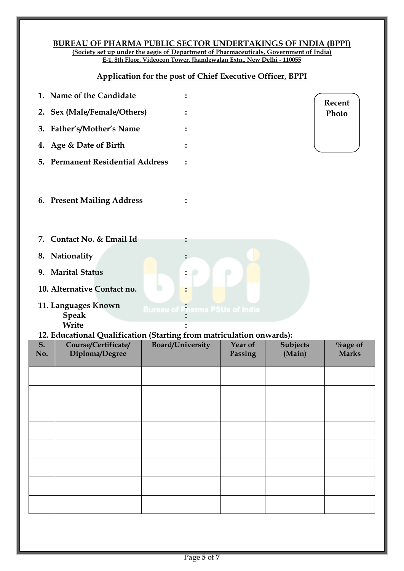#### **BUREAU OF PHARMA PUBLIC SECTOR UNDERTAKINGS OF INDIA (BPPI) (Society set up under the aegis of Department of Pharmaceuticals, Government of India)**

**E-1, 8th Floor, Videocon Tower, Jhandewalan Extn., New Delhi - 110055**

# **Application for the post of Chief Executive Officer, BPPI**

|                                                                      | 1. Name of the Candidate                         |                                       |         |                 | Recent      |
|----------------------------------------------------------------------|--------------------------------------------------|---------------------------------------|---------|-----------------|-------------|
|                                                                      | 2. Sex (Male/Female/Others)                      |                                       |         |                 | Photo       |
|                                                                      | 3. Father's/Mother's Name                        |                                       |         |                 |             |
|                                                                      | 4. Age & Date of Birth                           |                                       |         |                 |             |
| 5.                                                                   | <b>Permanent Residential Address</b>             |                                       |         |                 |             |
|                                                                      | 6. Present Mailing Address                       |                                       |         |                 |             |
|                                                                      | 7. Contact No. & Email Id                        |                                       |         |                 |             |
|                                                                      | 8. Nationality                                   |                                       |         |                 |             |
|                                                                      | 9. Marital Status<br>10. Alternative Contact no. |                                       |         |                 |             |
|                                                                      | 11. Languages Known<br><b>Speak</b><br>Write     | <b>Bureau of Pharma PSUs of India</b> |         |                 |             |
| 12. Educational Qualification (Starting from matriculation onwards): |                                                  |                                       |         |                 |             |
| S.                                                                   | Course/Certificate/                              | <b>Board/University</b>               | Year of | <b>Subjects</b> | $\%$ age of |

# **No. Diploma/Degree Passing (Main) Marks**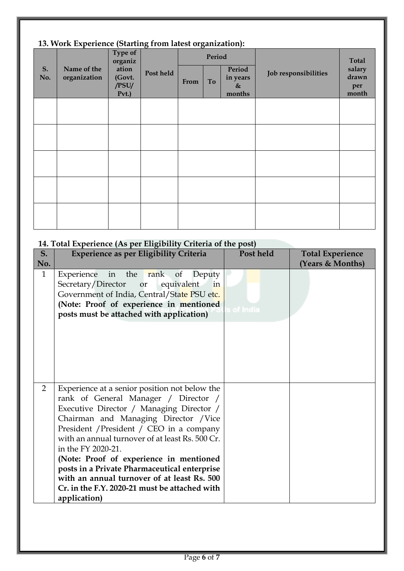# **13. Work Experience (Starting from latest organization):**

| S.<br>No. | 10. Work Experience (Starting from talest organization).<br>Name of the<br>organization | Type of<br>organiz<br>ation<br>(Govt.<br>/PSU/ | Post held | From | Period<br>To | Period<br>in years<br>$\&$ | Job responsibilities | <b>Total</b><br>salary<br>drawn<br>per |
|-----------|-----------------------------------------------------------------------------------------|------------------------------------------------|-----------|------|--------------|----------------------------|----------------------|----------------------------------------|
|           |                                                                                         | Pvt.                                           |           |      |              | months                     |                      | month                                  |
|           |                                                                                         |                                                |           |      |              |                            |                      |                                        |
|           |                                                                                         |                                                |           |      |              |                            |                      |                                        |
|           |                                                                                         |                                                |           |      |              |                            |                      |                                        |
|           |                                                                                         |                                                |           |      |              |                            |                      |                                        |
|           |                                                                                         |                                                |           |      |              |                            |                      |                                        |

# **14. Total Experience (As per Eligibility Criteria of the post)**

| S.             | <b>Experience as per Eligibility Criteria</b>                                                                                                                                                                                                                                                                                                                                                                                                                                                              | Post held | <b>Total Experience</b> |
|----------------|------------------------------------------------------------------------------------------------------------------------------------------------------------------------------------------------------------------------------------------------------------------------------------------------------------------------------------------------------------------------------------------------------------------------------------------------------------------------------------------------------------|-----------|-------------------------|
| No.            |                                                                                                                                                                                                                                                                                                                                                                                                                                                                                                            |           | (Years & Months)        |
| $\mathbf{1}$   | Experience in the rank of<br>Deputy<br>Secretary/Director or<br>equivalent<br>in<br>Government of India, Central/State PSU etc.<br>(Note: Proof of experience in mentioned<br>posts must be attached with application)                                                                                                                                                                                                                                                                                     | of India  |                         |
| $\overline{2}$ | Experience at a senior position not below the<br>rank of General Manager / Director /<br>Executive Director / Managing Director /<br>Chairman and Managing Director / Vice<br>President / President / CEO in a company<br>with an annual turnover of at least Rs. 500 Cr.<br>in the FY 2020-21.<br>(Note: Proof of experience in mentioned<br>posts in a Private Pharmaceutical enterprise<br>with an annual turnover of at least Rs. 500<br>Cr. in the F.Y. 2020-21 must be attached with<br>application) |           |                         |